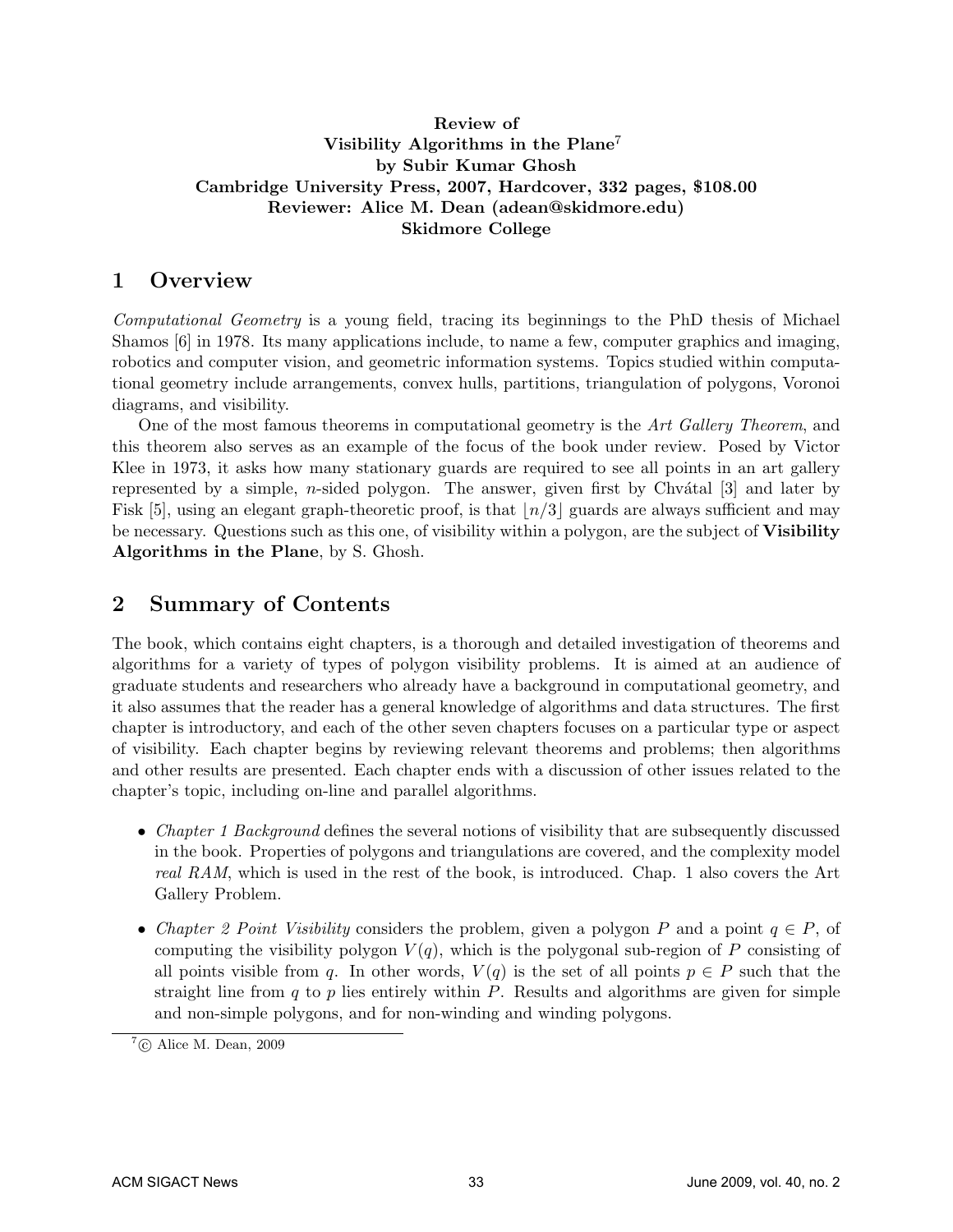#### Review of Visibility Algorithms in the Plane<sup>7</sup> by Subir Kumar Ghosh Cambridge University Press, 2007, Hardcover, 332 pages, \$108.00 Reviewer: Alice M. Dean (adean@skidmore.edu) Skidmore College

#### 1 Overview

Computational Geometry is a young field, tracing its beginnings to the PhD thesis of Michael Shamos [6] in 1978. Its many applications include, to name a few, computer graphics and imaging, robotics and computer vision, and geometric information systems. Topics studied within computational geometry include arrangements, convex hulls, partitions, triangulation of polygons, Voronoi diagrams, and visibility.

One of the most famous theorems in computational geometry is the Art Gallery Theorem, and this theorem also serves as an example of the focus of the book under review. Posed by Victor Klee in 1973, it asks how many stationary guards are required to see all points in an art gallery represented by a simple, *n*-sided polygon. The answer, given first by Chv $\hat{a}$ tal [3] and later by Fisk [5], using an elegant graph-theoretic proof, is that  $\lfloor n/3 \rfloor$  guards are always sufficient and may be necessary. Questions such as this one, of visibility within a polygon, are the subject of Visibility Algorithms in the Plane, by S. Ghosh.

### 2 Summary of Contents

The book, which contains eight chapters, is a thorough and detailed investigation of theorems and algorithms for a variety of types of polygon visibility problems. It is aimed at an audience of graduate students and researchers who already have a background in computational geometry, and it also assumes that the reader has a general knowledge of algorithms and data structures. The first chapter is introductory, and each of the other seven chapters focuses on a particular type or aspect of visibility. Each chapter begins by reviewing relevant theorems and problems; then algorithms and other results are presented. Each chapter ends with a discussion of other issues related to the chapter's topic, including on-line and parallel algorithms.

- Chapter 1 Background defines the several notions of visibility that are subsequently discussed in the book. Properties of polygons and triangulations are covered, and the complexity model real RAM, which is used in the rest of the book, is introduced. Chap. 1 also covers the Art Gallery Problem.
- Chapter 2 Point Visibility considers the problem, given a polygon P and a point  $q \in P$ , of computing the visibility polygon  $V(q)$ , which is the polygonal sub-region of P consisting of all points visible from q. In other words,  $V(q)$  is the set of all points  $p \in P$  such that the straight line from  $q$  to  $p$  lies entirely within  $P$ . Results and algorithms are given for simple and non-simple polygons, and for non-winding and winding polygons.

 $7^7$ © Alice M. Dean, 2009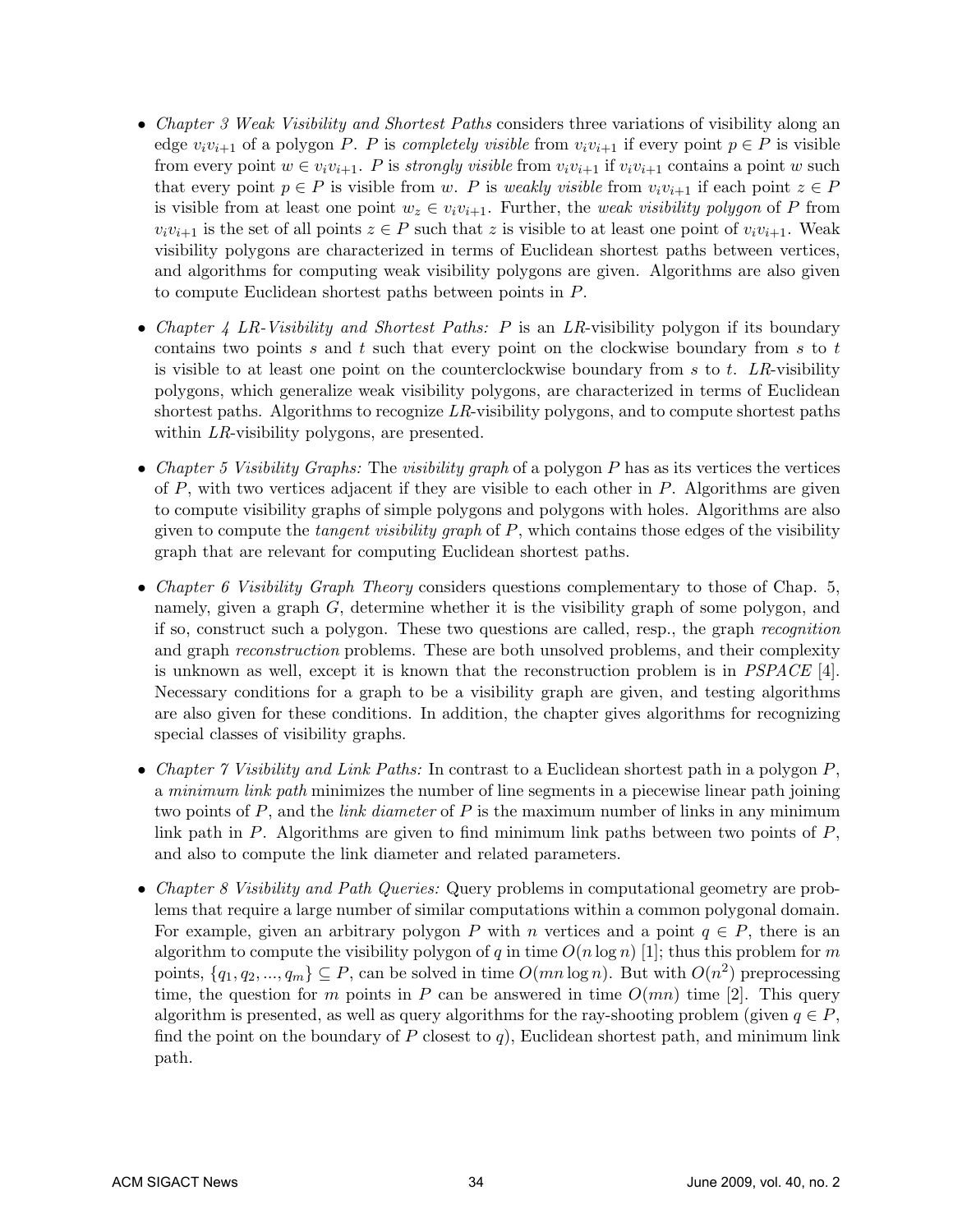- Chapter 3 Weak Visibility and Shortest Paths considers three variations of visibility along an edge  $v_i v_{i+1}$  of a polygon P. P is completely visible from  $v_i v_{i+1}$  if every point  $p \in P$  is visible from every point  $w \in v_i v_{i+1}$ . P is strongly visible from  $v_i v_{i+1}$  if  $v_i v_{i+1}$  contains a point w such that every point  $p \in P$  is visible from w. P is weakly visible from  $v_i v_{i+1}$  if each point  $z \in P$ is visible from at least one point  $w_z \in v_i v_{i+1}$ . Further, the *weak visibility polygon* of P from  $v_i v_{i+1}$  is the set of all points  $z \in P$  such that z is visible to at least one point of  $v_i v_{i+1}$ . Weak visibility polygons are characterized in terms of Euclidean shortest paths between vertices, and algorithms for computing weak visibility polygons are given. Algorithms are also given to compute Euclidean shortest paths between points in P.
- Chapter 4 LR-Visibility and Shortest Paths: P is an LR-visibility polygon if its boundary contains two points s and t such that every point on the clockwise boundary from s to t is visible to at least one point on the counterclockwise boundary from s to t. LR-visibility polygons, which generalize weak visibility polygons, are characterized in terms of Euclidean shortest paths. Algorithms to recognize LR-visibility polygons, and to compute shortest paths within LR-visibility polygons, are presented.
- Chapter 5 Visibility Graphs: The visibility graph of a polygon  $P$  has as its vertices the vertices of  $P$ , with two vertices adjacent if they are visible to each other in  $P$ . Algorithms are given to compute visibility graphs of simple polygons and polygons with holes. Algorithms are also given to compute the *tangent visibility graph* of  $P$ , which contains those edges of the visibility graph that are relevant for computing Euclidean shortest paths.
- Chapter 6 Visibility Graph Theory considers questions complementary to those of Chap. 5, namely, given a graph G, determine whether it is the visibility graph of some polygon, and if so, construct such a polygon. These two questions are called, resp., the graph recognition and graph *reconstruction* problems. These are both unsolved problems, and their complexity is unknown as well, except it is known that the reconstruction problem is in  $PSPACE$  [4]. Necessary conditions for a graph to be a visibility graph are given, and testing algorithms are also given for these conditions. In addition, the chapter gives algorithms for recognizing special classes of visibility graphs.
- Chapter  $\gamma$  Visibility and Link Paths: In contrast to a Euclidean shortest path in a polygon P, a minimum link path minimizes the number of line segments in a piecewise linear path joining two points of  $P$ , and the *link diameter* of  $P$  is the maximum number of links in any minimum link path in  $P$ . Algorithms are given to find minimum link paths between two points of  $P$ , and also to compute the link diameter and related parameters.
- Chapter 8 Visibility and Path Queries: Query problems in computational geometry are problems that require a large number of similar computations within a common polygonal domain. For example, given an arbitrary polygon P with n vertices and a point  $q \in P$ , there is an algorithm to compute the visibility polygon of q in time  $O(n \log n)$  [1]; thus this problem for m points,  $\{q_1, q_2, ..., q_m\} \subseteq P$ , can be solved in time  $O(mn \log n)$ . But with  $O(n^2)$  preprocessing time, the question for m points in P can be answered in time  $O(mn)$  time [2]. This query algorithm is presented, as well as query algorithms for the ray-shooting problem (given  $q \in P$ , find the point on the boundary of  $P$  closest to  $q$ ), Euclidean shortest path, and minimum link path.